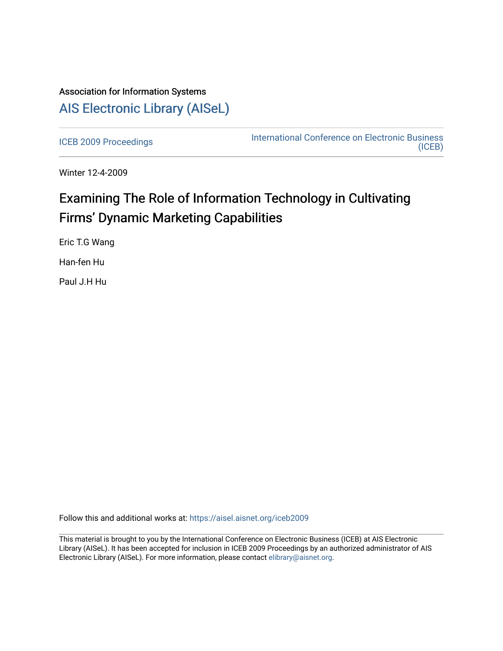# Association for Information Systems [AIS Electronic Library \(AISeL\)](https://aisel.aisnet.org/)

[ICEB 2009 Proceedings](https://aisel.aisnet.org/iceb2009) **International Conference on Electronic Business** [\(ICEB\)](https://aisel.aisnet.org/iceb) 

Winter 12-4-2009

# Examining The Role of Information Technology in Cultivating Firms' Dynamic Marketing Capabilities

Eric T.G Wang

Han-fen Hu

Paul J.H Hu

Follow this and additional works at: [https://aisel.aisnet.org/iceb2009](https://aisel.aisnet.org/iceb2009?utm_source=aisel.aisnet.org%2Ficeb2009%2F7&utm_medium=PDF&utm_campaign=PDFCoverPages)

This material is brought to you by the International Conference on Electronic Business (ICEB) at AIS Electronic Library (AISeL). It has been accepted for inclusion in ICEB 2009 Proceedings by an authorized administrator of AIS Electronic Library (AISeL). For more information, please contact [elibrary@aisnet.org.](mailto:elibrary@aisnet.org%3E)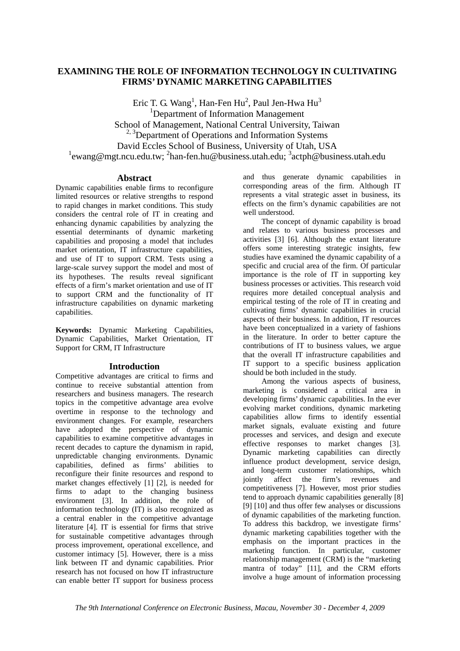# **EXAMINING THE ROLE OF INFORMATION TECHNOLOGY IN CULTIVATING FIRMS' DYNAMIC MARKETING CAPABILITIES**

Eric T. G. Wang<sup>1</sup>, Han-Fen Hu<sup>2</sup>, Paul Jen-Hwa Hu<sup>3</sup> 1 Department of Information Management School of Management, National Central University, Taiwan  $2,3$ Department of Operations and Information Systems David Eccles School of Business, University of Utah, USA <sup>1</sup>ewang@mgt.ncu.edu.tw; <sup>2</sup>han-fen.hu@business.utah.edu; <sup>3</sup>actph@business.utah.edu

# **Abstract**

Dynamic capabilities enable firms to reconfigure limited resources or relative strengths to respond to rapid changes in market conditions. This study considers the central role of IT in creating and enhancing dynamic capabilities by analyzing the essential determinants of dynamic marketing capabilities and proposing a model that includes market orientation, IT infrastructure capabilities, and use of IT to support CRM. Tests using a large-scale survey support the model and most of its hypotheses. The results reveal significant effects of a firm's market orientation and use of IT to support CRM and the functionality of IT infrastructure capabilities on dynamic marketing capabilities.

**Keywords:** Dynamic Marketing Capabilities, Dynamic Capabilities, Market Orientation, IT Support for CRM, IT Infrastructure

# **Introduction**

Competitive advantages are critical to firms and continue to receive substantial attention from researchers and business managers. The research topics in the competitive advantage area evolve overtime in response to the technology and environment changes. For example, researchers have adopted the perspective of dynamic capabilities to examine competitive advantages in recent decades to capture the dynamism in rapid, unpredictable changing environments. Dynamic capabilities, defined as firms' abilities to reconfigure their finite resources and respond to market changes effectively [1] [2], is needed for firms to adapt to the changing business environment [3]. In addition, the role of information technology (IT) is also recognized as a central enabler in the competitive advantage literature [4]. IT is essential for firms that strive for sustainable competitive advantages through process improvement, operational excellence, and customer intimacy [5]. However, there is a miss link between IT and dynamic capabilities. Prior research has not focused on how IT infrastructure can enable better IT support for business process and thus generate dynamic capabilities in corresponding areas of the firm. Although IT represents a vital strategic asset in business, its effects on the firm's dynamic capabilities are not well understood.

The concept of dynamic capability is broad and relates to various business processes and activities [3] [6]. Although the extant literature offers some interesting strategic insights, few studies have examined the dynamic capability of a specific and crucial area of the firm. Of particular importance is the role of IT in supporting key business processes or activities. This research void requires more detailed conceptual analysis and empirical testing of the role of IT in creating and cultivating firms' dynamic capabilities in crucial aspects of their business. In addition, IT resources have been conceptualized in a variety of fashions in the literature. In order to better capture the contributions of IT to business values, we argue that the overall IT infrastructure capabilities and IT support to a specific business application should be both included in the study.

Among the various aspects of business, marketing is considered a critical area in developing firms' dynamic capabilities. In the ever evolving market conditions, dynamic marketing capabilities allow firms to identify essential market signals, evaluate existing and future processes and services, and design and execute effective responses to market changes [3]. Dynamic marketing capabilities can directly influence product development, service design, and long-term customer relationships, which jointly affect the firm's revenues and competitiveness [7]. However, most prior studies tend to approach dynamic capabilities generally [8] [9] [10] and thus offer few analyses or discussions of dynamic capabilities of the marketing function. To address this backdrop, we investigate firms' dynamic marketing capabilities together with the emphasis on the important practices in the marketing function. In particular, customer relationship management (CRM) is the "marketing mantra of today" [11], and the CRM efforts involve a huge amount of information processing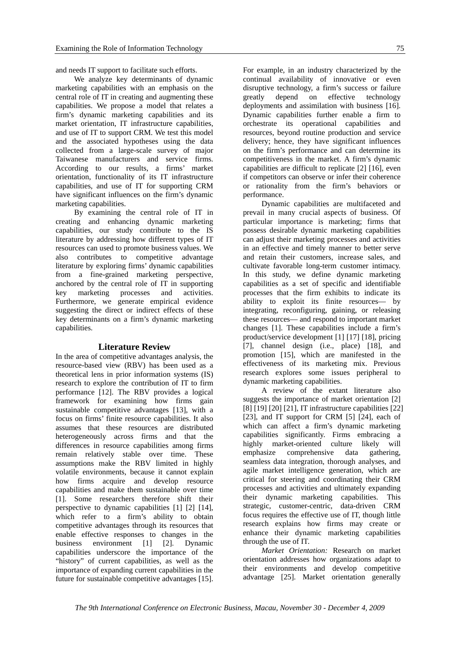and needs IT support to facilitate such efforts.

We analyze key determinants of dynamic marketing capabilities with an emphasis on the central role of IT in creating and augmenting these capabilities. We propose a model that relates a firm's dynamic marketing capabilities and its market orientation, IT infrastructure capabilities, and use of IT to support CRM. We test this model and the associated hypotheses using the data collected from a large-scale survey of major Taiwanese manufacturers and service firms. According to our results, a firms' market orientation, functionality of its IT infrastructure capabilities, and use of IT for supporting CRM have significant influences on the firm's dynamic marketing capabilities.

By examining the central role of IT in creating and enhancing dynamic marketing capabilities, our study contribute to the IS literature by addressing how different types of IT resources can used to promote business values. We also contributes to competitive advantage literature by exploring firms' dynamic capabilities from a fine-grained marketing perspective, anchored by the central role of IT in supporting key marketing processes and activities. Furthermore, we generate empirical evidence suggesting the direct or indirect effects of these key determinants on a firm's dynamic marketing capabilities.

# **Literature Review**

In the area of competitive advantages analysis, the resource-based view (RBV) has been used as a theoretical lens in prior information systems (IS) research to explore the contribution of IT to firm performance [12]. The RBV provides a logical framework for examining how firms gain sustainable competitive advantages [13], with a focus on firms' finite resource capabilities. It also assumes that these resources are distributed heterogeneously across firms and that the differences in resource capabilities among firms remain relatively stable over time. These assumptions make the RBV limited in highly volatile environments, because it cannot explain how firms acquire and develop resource capabilities and make them sustainable over time [1]. Some researchers therefore shift their perspective to dynamic capabilities [1] [2] [14], which refer to a firm's ability to obtain competitive advantages through its resources that enable effective responses to changes in the business environment [1] [2]. Dynamic capabilities underscore the importance of the "history" of current capabilities, as well as the importance of expanding current capabilities in the future for sustainable competitive advantages [15]. For example, in an industry characterized by the continual availability of innovative or even disruptive technology, a firm's success or failure greatly depend on effective technology deployments and assimilation with business [16]. Dynamic capabilities further enable a firm to orchestrate its operational capabilities and resources, beyond routine production and service delivery; hence, they have significant influences on the firm's performance and can determine its competitiveness in the market. A firm's dynamic capabilities are difficult to replicate [2] [16], even if competitors can observe or infer their coherence or rationality from the firm's behaviors or performance.

Dynamic capabilities are multifaceted and prevail in many crucial aspects of business. Of particular importance is marketing; firms that possess desirable dynamic marketing capabilities can adjust their marketing processes and activities in an effective and timely manner to better serve and retain their customers, increase sales, and cultivate favorable long-term customer intimacy. In this study, we define dynamic marketing capabilities as a set of specific and identifiable processes that the firm exhibits to indicate its ability to exploit its finite resources— by integrating, reconfiguring, gaining, or releasing these resources— and respond to important market changes [1]. These capabilities include a firm's product/service development [1] [17] [18], pricing [7], channel design (i.e., place) [18], and promotion [15], which are manifested in the effectiveness of its marketing mix. Previous research explores some issues peripheral to dynamic marketing capabilities.

A review of the extant literature also suggests the importance of market orientation [2] [8] [19] [20] [21], IT infrastructure capabilities [22] [23], and IT support for CRM [5] [24], each of which can affect a firm's dynamic marketing capabilities significantly. Firms embracing a highly market-oriented culture likely will emphasize comprehensive data gathering, seamless data integration, thorough analyses, and agile market intelligence generation, which are critical for steering and coordinating their CRM processes and activities and ultimately expanding their dynamic marketing capabilities. This strategic, customer-centric, data-driven CRM focus requires the effective use of IT, though little research explains how firms may create or enhance their dynamic marketing capabilities through the use of IT.

*Market Orientation:* Research on market orientation addresses how organizations adapt to their environments and develop competitive advantage [25]. Market orientation generally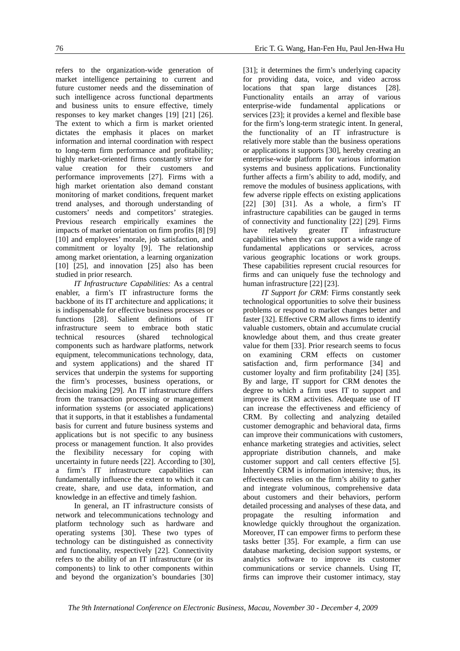refers to the organization-wide generation of market intelligence pertaining to current and future customer needs and the dissemination of such intelligence across functional departments and business units to ensure effective, timely responses to key market changes [19] [21] [26]. The extent to which a firm is market oriented dictates the emphasis it places on market information and internal coordination with respect to long-term firm performance and profitability; highly market-oriented firms constantly strive for value creation for their customers and performance improvements [27]. Firms with a high market orientation also demand constant monitoring of market conditions, frequent market trend analyses, and thorough understanding of customers' needs and competitors' strategies. Previous research empirically examines the impacts of market orientation on firm profits [8] [9] [10] and employees' morale, job satisfaction, and commitment or loyalty [9]. The relationship among market orientation, a learning organization [10] [25], and innovation [25] also has been studied in prior research.

*IT Infrastructure Capabilities:* As a central enabler, a firm's IT infrastructure forms the backbone of its IT architecture and applications; it is indispensable for effective business processes or functions [28]. Salient definitions of IT infrastructure seem to embrace both static<br>technical resources (shared technological technical resources (shared components such as hardware platforms, network equipment, telecommunications technology, data, and system applications) and the shared IT services that underpin the systems for supporting the firm's processes, business operations, or decision making [29]. An IT infrastructure differs from the transaction processing or management information systems (or associated applications) that it supports, in that it establishes a fundamental basis for current and future business systems and applications but is not specific to any business process or management function. It also provides the flexibility necessary for coping with uncertainty in future needs [22]. According to [30], a firm's IT infrastructure capabilities can fundamentally influence the extent to which it can create, share, and use data, information, and knowledge in an effective and timely fashion.

In general, an IT infrastructure consists of network and telecommunications technology and platform technology such as hardware and operating systems [30]. These two types of technology can be distinguished as connectivity and functionality, respectively [22]. Connectivity refers to the ability of an IT infrastructure (or its components) to link to other components within and beyond the organization's boundaries [30]

[31]; it determines the firm's underlying capacity for providing data, voice, and video across locations that span large distances [28]. Functionality entails an array of various enterprise-wide fundamental applications or services [23]; it provides a kernel and flexible base for the firm's long-term strategic intent. In general, the functionality of an IT infrastructure is relatively more stable than the business operations or applications it supports [30], hereby creating an enterprise-wide platform for various information systems and business applications. Functionality further affects a firm's ability to add, modify, and remove the modules of business applications, with few adverse ripple effects on existing applications [22] [30] [31]. As a whole, a firm's IT infrastructure capabilities can be gauged in terms of connectivity and functionality [22] [29]. Firms have relatively greater IT infrastructure capabilities when they can support a wide range of fundamental applications or services, across various geographic locations or work groups. These capabilities represent crucial resources for firms and can uniquely fuse the technology and human infrastructure [22] [23].

*IT Support for CRM*: Firms constantly seek technological opportunities to solve their business problems or respond to market changes better and faster [32]. Effective CRM allows firms to identify valuable customers, obtain and accumulate crucial knowledge about them, and thus create greater value for them [33]. Prior research seems to focus on examining CRM effects on customer satisfaction and, firm performance [34] and customer loyalty and firm profitability [24] [35]. By and large, IT support for CRM denotes the degree to which a firm uses IT to support and improve its CRM activities. Adequate use of IT can increase the effectiveness and efficiency of CRM. By collecting and analyzing detailed customer demographic and behavioral data, firms can improve their communications with customers, enhance marketing strategies and activities, select appropriate distribution channels, and make customer support and call centers effective [5]. Inherently CRM is information intensive; thus, its effectiveness relies on the firm's ability to gather and integrate voluminous, comprehensive data about customers and their behaviors, perform detailed processing and analyses of these data, and propagate the resulting information and knowledge quickly throughout the organization. Moreover, IT can empower firms to perform these tasks better [35]. For example, a firm can use database marketing, decision support systems, or analytics software to improve its customer communications or service channels. Using IT, firms can improve their customer intimacy, stay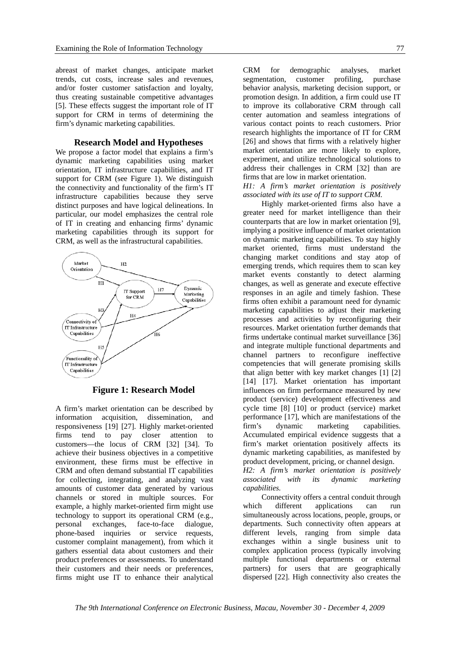abreast of market changes, anticipate market trends, cut costs, increase sales and revenues, and/or foster customer satisfaction and loyalty, thus creating sustainable competitive advantages [5]. These effects suggest the important role of IT support for CRM in terms of determining the firm's dynamic marketing capabilities.

#### **Research Model and Hypotheses**

We propose a factor model that explains a firm's dynamic marketing capabilities using market orientation, IT infrastructure capabilities, and IT support for CRM (see Figure 1). We distinguish the connectivity and functionality of the firm's IT infrastructure capabilities because they serve distinct purposes and have logical delineations. In particular, our model emphasizes the central role of IT in creating and enhancing firms' dynamic marketing capabilities through its support for CRM, as well as the infrastructural capabilities.



**Figure 1: Research Model** 

A firm's market orientation can be described by information acquisition, dissemination, and responsiveness [19] [27]. Highly market-oriented firms tend to pay closer attention to customers—the locus of CRM [32] [34]. To achieve their business objectives in a competitive environment, these firms must be effective in CRM and often demand substantial IT capabilities for collecting, integrating, and analyzing vast amounts of customer data generated by various channels or stored in multiple sources. For example, a highly market-oriented firm might use technology to support its operational CRM (e.g., personal exchanges, face-to-face dialogue, phone-based inquiries or service requests, customer complaint management), from which it gathers essential data about customers and their product preferences or assessments. To understand their customers and their needs or preferences, firms might use IT to enhance their analytical

CRM for demographic analyses, market segmentation, customer profiling, purchase behavior analysis, marketing decision support, or promotion design. In addition, a firm could use IT to improve its collaborative CRM through call center automation and seamless integrations of various contact points to reach customers. Prior research highlights the importance of IT for CRM [26] and shows that firms with a relatively higher market orientation are more likely to explore, experiment, and utilize technological solutions to address their challenges in CRM [32] than are firms that are low in market orientation.

*H1: A firm's market orientation is positively associated with its use of IT to support CRM.*

Highly market-oriented firms also have a greater need for market intelligence than their counterparts that are low in market orientation [9], implying a positive influence of market orientation on dynamic marketing capabilities. To stay highly market oriented, firms must understand the changing market conditions and stay atop of emerging trends, which requires them to scan key market events constantly to detect alarming changes, as well as generate and execute effective responses in an agile and timely fashion. These firms often exhibit a paramount need for dynamic marketing capabilities to adjust their marketing processes and activities by reconfiguring their resources. Market orientation further demands that firms undertake continual market surveillance [36] and integrate multiple functional departments and channel partners to reconfigure ineffective competencies that will generate promising skills that align better with key market changes [1] [2] [14] [17]. Market orientation has important influences on firm performance measured by new product (service) development effectiveness and cycle time [8] [10] or product (service) market performance [17], which are manifestations of the firm's dynamic marketing capabilities. Accumulated empirical evidence suggests that a firm's market orientation positively affects its dynamic marketing capabilities, as manifested by product development, pricing, or channel design. *H2: A firm's market orientation is positively* 

*associated with its dynamic marketing capabilities.* 

Connectivity offers a central conduit through which different applications can run simultaneously across locations, people, groups, or departments. Such connectivity often appears at different levels, ranging from simple data exchanges within a single business unit to complex application process (typically involving multiple functional departments or external partners) for users that are geographically dispersed [22]. High connectivity also creates the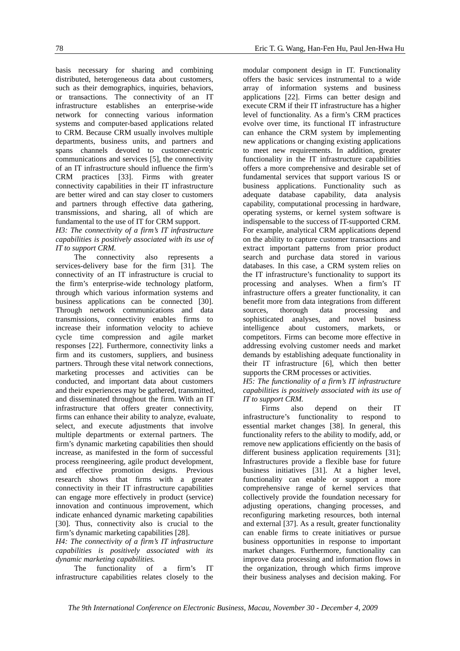basis necessary for sharing and combining distributed, heterogeneous data about customers, such as their demographics, inquiries, behaviors, or transactions. The connectivity of an IT infrastructure establishes an enterprise-wide network for connecting various information systems and computer-based applications related to CRM. Because CRM usually involves multiple departments, business units, and partners and spans channels devoted to customer-centric communications and services [5], the connectivity of an IT infrastructure should influence the firm's CRM practices [33]. Firms with greater connectivity capabilities in their IT infrastructure are better wired and can stay closer to customers and partners through effective data gathering, transmissions, and sharing, all of which are fundamental to the use of IT for CRM support.

*H3: The connectivity of a firm's IT infrastructure capabilities is positively associated with its use of IT to support CRM.* 

The connectivity also represents a services-delivery base for the firm [31]. The connectivity of an IT infrastructure is crucial to the firm's enterprise-wide technology platform, through which various information systems and business applications can be connected [30]. Through network communications and data transmissions, connectivity enables firms to increase their information velocity to achieve cycle time compression and agile market responses [22]. Furthermore, connectivity links a firm and its customers, suppliers, and business partners. Through these vital network connections, marketing processes and activities can be conducted, and important data about customers and their experiences may be gathered, transmitted, and disseminated throughout the firm. With an IT infrastructure that offers greater connectivity, firms can enhance their ability to analyze, evaluate, select, and execute adjustments that involve multiple departments or external partners. The firm's dynamic marketing capabilities then should increase, as manifested in the form of successful process reengineering, agile product development, and effective promotion designs. Previous research shows that firms with a greater connectivity in their IT infrastructure capabilities can engage more effectively in product (service) innovation and continuous improvement, which indicate enhanced dynamic marketing capabilities [30]. Thus, connectivity also is crucial to the firm's dynamic marketing capabilities [28].

*H4: The connectivity of a firm's IT infrastructure capabilities is positively associated with its dynamic marketing capabilities.* 

The functionality of a firm's IT infrastructure capabilities relates closely to the modular component design in IT. Functionality offers the basic services instrumental to a wide array of information systems and business applications [22]. Firms can better design and execute CRM if their IT infrastructure has a higher level of functionality. As a firm's CRM practices evolve over time, its functional IT infrastructure can enhance the CRM system by implementing new applications or changing existing applications to meet new requirements. In addition, greater functionality in the IT infrastructure capabilities offers a more comprehensive and desirable set of fundamental services that support various IS or business applications. Functionality such as adequate database capability, data analysis capability, computational processing in hardware, operating systems, or kernel system software is indispensable to the success of IT-supported CRM. For example, analytical CRM applications depend on the ability to capture customer transactions and extract important patterns from prior product search and purchase data stored in various databases. In this case, a CRM system relies on the IT infrastructure's functionality to support its processing and analyses. When a firm's IT infrastructure offers a greater functionality, it can benefit more from data integrations from different sources, thorough data processing and sophisticated analyses, and novel business intelligence about customers, markets, or competitors. Firms can become more effective in addressing evolving customer needs and market demands by establishing adequate functionality in their IT infrastructure [6], which then better supports the CRM processes or activities.

*H5: The functionality of a firm's IT infrastructure capabilities is positively associated with its use of IT to support CRM.* 

Firms also depend on their IT infrastructure's functionality to respond to essential market changes [38]. In general, this functionality refers to the ability to modify, add, or remove new applications efficiently on the basis of different business application requirements [31]; Infrastructures provide a flexible base for future business initiatives [31]. At a higher level, functionality can enable or support a more comprehensive range of kernel services that collectively provide the foundation necessary for adjusting operations, changing processes, and reconfiguring marketing resources, both internal and external [37]. As a result, greater functionality can enable firms to create initiatives or pursue business opportunities in response to important market changes. Furthermore, functionality can improve data processing and information flows in the organization, through which firms improve their business analyses and decision making. For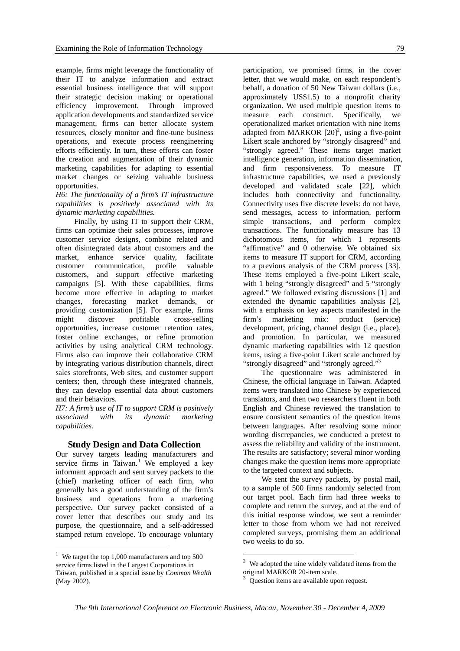example, firms might leverage the functionality of their IT to analyze information and extract essential business intelligence that will support their strategic decision making or operational efficiency improvement. Through improved application developments and standardized service management, firms can better allocate system resources, closely monitor and fine-tune business operations, and execute process reengineering efforts efficiently. In turn, these efforts can foster the creation and augmentation of their dynamic marketing capabilities for adapting to essential market changes or seizing valuable business opportunities.

*H6: The functionality of a firm's IT infrastructure capabilities is positively associated with its dynamic marketing capabilities.* 

Finally, by using IT to support their CRM, firms can optimize their sales processes, improve customer service designs, combine related and often disintegrated data about customers and the market, enhance service quality, facilitate customer communication, profile valuable customers, and support effective marketing campaigns [5]. With these capabilities, firms become more effective in adapting to market changes, forecasting market demands, or providing customization [5]. For example, firms<br>might discover profitable cross-selling might discover profitable cross-selling opportunities, increase customer retention rates, foster online exchanges, or refine promotion activities by using analytical CRM technology. Firms also can improve their collaborative CRM by integrating various distribution channels, direct sales storefronts, Web sites, and customer support centers; then, through these integrated channels, they can develop essential data about customers and their behaviors.

*H7: A firm's use of IT to support CRM is positively associated with its dynamic marketing capabilities.* 

# **Study Design and Data Collection**

Our survey targets leading manufacturers and service firms in Taiwan.<sup>1</sup> We employed a key informant approach and sent survey packets to the (chief) marketing officer of each firm, who generally has a good understanding of the firm's business and operations from a marketing perspective. Our survey packet consisted of a cover letter that describes our study and its purpose, the questionnaire, and a self-addressed stamped return envelope. To encourage voluntary

1

participation, we promised firms, in the cover letter, that we would make, on each respondent's behalf, a donation of 50 New Taiwan dollars (i.e., approximately US\$1.5) to a nonprofit charity organization. We used multiple question items to measure each construct. Specifically, we operationalized market orientation with nine items adapted from MARKOR  $[20]^2$ , using a five-point Likert scale anchored by "strongly disagreed" and "strongly agreed." These items target market intelligence generation, information dissemination, and firm responsiveness. To measure IT infrastructure capabilities, we used a previously developed and validated scale [22], which includes both connectivity and functionality. Connectivity uses five discrete levels: do not have, send messages, access to information, perform simple transactions, and perform complex transactions. The functionality measure has 13 dichotomous items, for which 1 represents "affirmative" and 0 otherwise. We obtained six items to measure IT support for CRM, according to a previous analysis of the CRM process [33]. These items employed a five-point Likert scale, with 1 being "strongly disagreed" and 5 "strongly agreed." We followed existing discussions [1] and extended the dynamic capabilities analysis [2], with a emphasis on key aspects manifested in the firm's marketing mix: product (service) development, pricing, channel design (i.e., place), and promotion. In particular, we measured dynamic marketing capabilities with 12 question items, using a five-point Likert scale anchored by "strongly disagreed" and "strongly agreed."<sup>3</sup>

The questionnaire was administered in Chinese, the official language in Taiwan. Adapted items were translated into Chinese by experienced translators, and then two researchers fluent in both English and Chinese reviewed the translation to ensure consistent semantics of the question items between languages. After resolving some minor wording discrepancies, we conducted a pretest to assess the reliability and validity of the instrument. The results are satisfactory; several minor wording changes make the question items more appropriate to the targeted context and subjects.

We sent the survey packets, by postal mail, to a sample of 500 firms randomly selected from our target pool. Each firm had three weeks to complete and return the survey, and at the end of this initial response window, we sent a reminder letter to those from whom we had not received completed surveys, promising them an additional two weeks to do so.

<u>.</u>

<sup>&</sup>lt;sup>1</sup> We target the top 1,000 manufacturers and top 500 service firms listed in the Largest Corporations in Taiwan, published in a special issue by *Common Wealth* (May 2002).

We adopted the nine widely validated items from the original MARKOR 20-item scale.

<sup>3</sup> Question items are available upon request.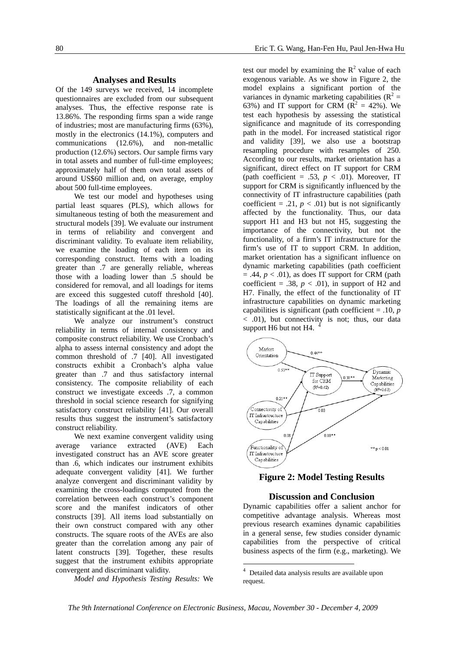#### **Analyses and Results**

Of the 149 surveys we received, 14 incomplete questionnaires are excluded from our subsequent analyses. Thus, the effective response rate is 13.86%. The responding firms span a wide range of industries; most are manufacturing firms (63%), mostly in the electronics (14.1%), computers and communications (12.6%), and non-metallic production (12.6%) sectors. Our sample firms vary in total assets and number of full-time employees; approximately half of them own total assets of around US\$60 million and, on average, employ about 500 full-time employees.

We test our model and hypotheses using partial least squares (PLS), which allows for simultaneous testing of both the measurement and structural models [39]. We evaluate our instrument in terms of reliability and convergent and discriminant validity. To evaluate item reliability, we examine the loading of each item on its corresponding construct. Items with a loading greater than .7 are generally reliable, whereas those with a loading lower than .5 should be considered for removal, and all loadings for items are exceed this suggested cutoff threshold [40]. The loadings of all the remaining items are statistically significant at the .01 level.

We analyze our instrument's construct reliability in terms of internal consistency and composite construct reliability. We use Cronbach's alpha to assess internal consistency and adopt the common threshold of .7 [40]. All investigated constructs exhibit a Cronbach's alpha value greater than .7 and thus satisfactory internal consistency. The composite reliability of each construct we investigate exceeds .7, a common threshold in social science research for signifying satisfactory construct reliability [41]. Our overall results thus suggest the instrument's satisfactory construct reliability.

We next examine convergent validity using average variance extracted (AVE) Each investigated construct has an AVE score greater than .6, which indicates our instrument exhibits adequate convergent validity [41]. We further analyze convergent and discriminant validity by examining the cross-loadings computed from the correlation between each construct's component score and the manifest indicators of other constructs [39]. All items load substantially on their own construct compared with any other constructs. The square roots of the AVEs are also greater than the correlation among any pair of latent constructs [39]. Together, these results suggest that the instrument exhibits appropriate convergent and discriminant validity.

*Model and Hypothesis Testing Results:* We

test our model by examining the  $R^2$  value of each exogenous variable. As we show in Figure 2, the model explains a significant portion of the variances in dynamic marketing capabilities  $(R^2 =$ 63%) and IT support for CRM ( $\overline{R}^2 = 42$ %). We test each hypothesis by assessing the statistical significance and magnitude of its corresponding path in the model. For increased statistical rigor and validity [39], we also use a bootstrap resampling procedure with resamples of 250. According to our results, market orientation has a significant, direct effect on IT support for CRM (path coefficient = .53,  $p < .01$ ). Moreover, IT support for CRM is significantly influenced by the connectivity of IT infrastructure capabilities (path coefficient = .21,  $p < .01$ ) but is not significantly affected by the functionality. Thus, our data support H1 and H3 but not H5, suggesting the importance of the connectivity, but not the functionality, of a firm's IT infrastructure for the firm's use of IT to support CRM. In addition, market orientation has a significant influence on dynamic marketing capabilities (path coefficient  $= .44, p < .01$ ), as does IT support for CRM (path coefficient = .38,  $p < .01$ ), in support of H2 and H7. Finally, the effect of the functionality of IT infrastructure capabilities on dynamic marketing capabilities is significant (path coefficient = .10, *p* < .01), but connectivity is not; thus, our data support H6 but not H4.



**Figure 2: Model Testing Results** 

#### **Discussion and Conclusion**

Dynamic capabilities offer a salient anchor for competitive advantage analysis. Whereas most previous research examines dynamic capabilities in a general sense, few studies consider dynamic capabilities from the perspective of critical business aspects of the firm (e.g., marketing). We

1

<sup>4</sup> Detailed data analysis results are available upon request.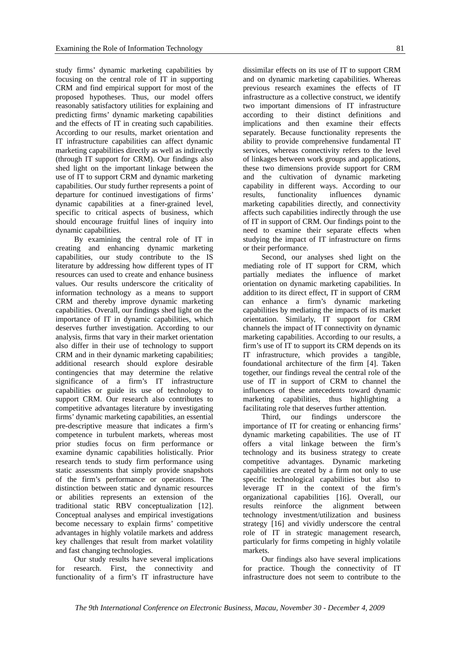study firms' dynamic marketing capabilities by focusing on the central role of IT in supporting CRM and find empirical support for most of the proposed hypotheses. Thus, our model offers reasonably satisfactory utilities for explaining and predicting firms' dynamic marketing capabilities and the effects of IT in creating such capabilities. According to our results, market orientation and IT infrastructure capabilities can affect dynamic marketing capabilities directly as well as indirectly (through IT support for CRM). Our findings also shed light on the important linkage between the use of IT to support CRM and dynamic marketing capabilities. Our study further represents a point of departure for continued investigations of firms' dynamic capabilities at a finer-grained level, specific to critical aspects of business, which should encourage fruitful lines of inquiry into dynamic capabilities.

By examining the central role of IT in creating and enhancing dynamic marketing capabilities, our study contribute to the IS literature by addressing how different types of IT resources can used to create and enhance business values. Our results underscore the criticality of information technology as a means to support CRM and thereby improve dynamic marketing capabilities. Overall, our findings shed light on the importance of IT in dynamic capabilities, which deserves further investigation. According to our analysis, firms that vary in their market orientation also differ in their use of technology to support CRM and in their dynamic marketing capabilities; additional research should explore desirable contingencies that may determine the relative significance of a firm's IT infrastructure capabilities or guide its use of technology to support CRM. Our research also contributes to competitive advantages literature by investigating firms' dynamic marketing capabilities, an essential pre-descriptive measure that indicates a firm's competence in turbulent markets, whereas most prior studies focus on firm performance or examine dynamic capabilities holistically. Prior research tends to study firm performance using static assessments that simply provide snapshots of the firm's performance or operations. The distinction between static and dynamic resources or abilities represents an extension of the traditional static RBV conceptualization [12]. Conceptual analyses and empirical investigations become necessary to explain firms' competitive advantages in highly volatile markets and address key challenges that result from market volatility and fast changing technologies.

Our study results have several implications for research. First, the connectivity and functionality of a firm's IT infrastructure have dissimilar effects on its use of IT to support CRM and on dynamic marketing capabilities. Whereas previous research examines the effects of IT infrastructure as a collective construct, we identify two important dimensions of IT infrastructure according to their distinct definitions and implications and then examine their effects separately. Because functionality represents the ability to provide comprehensive fundamental IT services, whereas connectivity refers to the level of linkages between work groups and applications, these two dimensions provide support for CRM and the cultivation of dynamic marketing capability in different ways. According to our results, functionality influences dynamic marketing capabilities directly, and connectivity affects such capabilities indirectly through the use of IT in support of CRM. Our findings point to the need to examine their separate effects when studying the impact of IT infrastructure on firms or their performance.

Second, our analyses shed light on the mediating role of IT support for CRM, which partially mediates the influence of market orientation on dynamic marketing capabilities. In addition to its direct effect, IT in support of CRM can enhance a firm's dynamic marketing capabilities by mediating the impacts of its market orientation. Similarly, IT support for CRM channels the impact of IT connectivity on dynamic marketing capabilities. According to our results, a firm's use of IT to support its CRM depends on its IT infrastructure, which provides a tangible, foundational architecture of the firm [4]. Taken together, our findings reveal the central role of the use of IT in support of CRM to channel the influences of these antecedents toward dynamic marketing capabilities, thus highlighting a facilitating role that deserves further attention.

Third, our findings underscore the importance of IT for creating or enhancing firms' dynamic marketing capabilities. The use of IT offers a vital linkage between the firm's technology and its business strategy to create competitive advantages. Dynamic marketing capabilities are created by a firm not only to use specific technological capabilities but also to leverage IT in the context of the firm's organizational capabilities [16]. Overall, our results reinforce the alignment between technology investment/utilization and business strategy [16] and vividly underscore the central role of IT in strategic management research, particularly for firms competing in highly volatile markets.

Our findings also have several implications for practice. Though the connectivity of IT infrastructure does not seem to contribute to the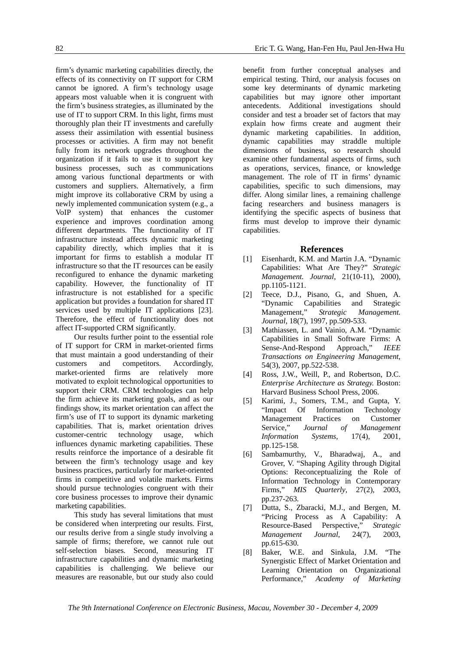firm's dynamic marketing capabilities directly, the effects of its connectivity on IT support for CRM cannot be ignored. A firm's technology usage appears most valuable when it is congruent with the firm's business strategies, as illuminated by the use of IT to support CRM. In this light, firms must thoroughly plan their IT investments and carefully assess their assimilation with essential business processes or activities. A firm may not benefit fully from its network upgrades throughout the organization if it fails to use it to support key business processes, such as communications among various functional departments or with customers and suppliers. Alternatively, a firm might improve its collaborative CRM by using a newly implemented communication system (e.g., a VoIP system) that enhances the customer experience and improves coordination among different departments. The functionality of IT infrastructure instead affects dynamic marketing capability directly, which implies that it is important for firms to establish a modular IT infrastructure so that the IT resources can be easily reconfigured to enhance the dynamic marketing capability. However, the functionality of IT infrastructure is not established for a specific application but provides a foundation for shared IT services used by multiple IT applications [23]. Therefore, the effect of functionality does not affect IT-supported CRM significantly.

Our results further point to the essential role of IT support for CRM in market-oriented firms that must maintain a good understanding of their customers and competitors. Accordingly, market-oriented firms are relatively more motivated to exploit technological opportunities to support their CRM. CRM technologies can help the firm achieve its marketing goals, and as our findings show, its market orientation can affect the firm's use of IT to support its dynamic marketing capabilities. That is, market orientation drives customer-centric technology usage, which influences dynamic marketing capabilities. These results reinforce the importance of a desirable fit between the firm's technology usage and key business practices, particularly for market-oriented firms in competitive and volatile markets. Firms should pursue technologies congruent with their core business processes to improve their dynamic marketing capabilities.

This study has several limitations that must be considered when interpreting our results. First, our results derive from a single study involving a sample of firms; therefore, we cannot rule out self-selection biases. Second, measuring IT infrastructure capabilities and dynamic marketing capabilities is challenging. We believe our measures are reasonable, but our study also could

benefit from further conceptual analyses and empirical testing. Third, our analysis focuses on some key determinants of dynamic marketing capabilities but may ignore other important antecedents. Additional investigations should consider and test a broader set of factors that may explain how firms create and augment their dynamic marketing capabilities. In addition, dynamic capabilities may straddle multiple dimensions of business, so research should examine other fundamental aspects of firms, such as operations, services, finance, or knowledge management. The role of IT in firms' dynamic capabilities, specific to such dimensions, may differ. Along similar lines, a remaining challenge facing researchers and business managers is identifying the specific aspects of business that firms must develop to improve their dynamic capabilities.

#### **References**

- [1] Eisenhardt, K.M. and Martin J.A. "Dynamic Capabilities: What Are They?" *Strategic Management. Journal*, 21(10-11), 2000), pp.1105-1121.
- [2] Teece, D.J., Pisano, G., and Shuen, A. "Dynamic Capabilities and Strategic Management," *Strategic Management. Journal*, 18(7), 1997, pp.509-533.
- [3] Mathiassen, L. and Vainio, A.M. "Dynamic Capabilities in Small Software Firms: A Sense-And-Respond Approach," *IEEE Transactions on Engineering Management*, 54(3), 2007, pp.522-538.
- [4] Ross, J.W., Weill, P., and Robertson, D.C. *Enterprise Architecture as Strategy.* Boston: Harvard Business School Press, 2006.
- [5] Karimi, J., Somers, T.M., and Gupta, Y. "Impact Of Information Technology Management Practices on Customer Service," *Journal of Management Information Systems*, 17(4), 2001, pp.125-158.
- [6] Sambamurthy, V., Bharadwaj, A., and Grover, V. "Shaping Agility through Digital Options: Reconceptualizing the Role of Information Technology in Contemporary Firms," *MIS Quarterly*, 27(2), 2003, pp.237-263.
- [7] Dutta, S., Zbaracki, M.J., and Bergen, M. "Pricing Process as A Capability: A Resource-Based Perspective," *Strategic Management Journal*, 24(7), 2003, pp.615-630.
- [8] Baker, W.E. and Sinkula, J.M. "The Synergistic Effect of Market Orientation and Learning Orientation on Organizational Performance," *Academy of Marketing*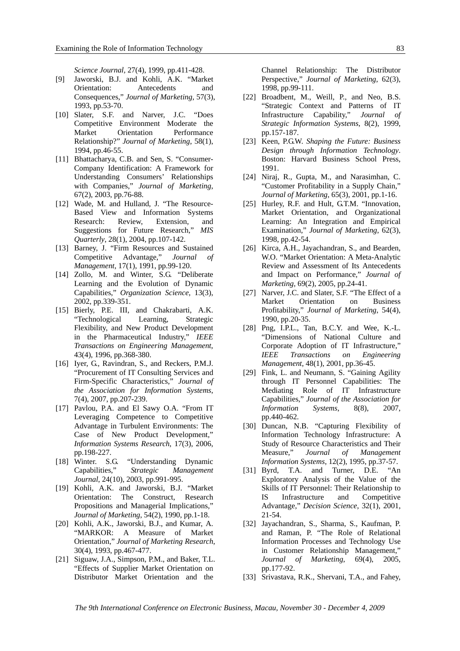*Science Journal,* 27(4), 1999, pp.411-428.

- [9] Jaworski, B.J. and Kohli, A.K. "Market Orientation: Antecedents and Consequences," *Journal of Marketing*, 57(3), 1993, pp.53-70.
- [10] Slater, S.F. and Narver, J.C. "Does Competitive Environment Moderate the Market Orientation Performance Relationship?" *Journal of Marketing*, 58(1), 1994, pp.46-55.
- [11] Bhattacharya, C.B. and Sen, S. "Consumer-Company Identification: A Framework for Understanding Consumers' Relationships with Companies," *Journal of Marketing*, 67(2), 2003, pp.76-88.
- [12] Wade, M. and Hulland, J. "The Resource-Based View and Information Systems Research: Review, Extension, and Suggestions for Future Research," *MIS Quarterly*, 28(1), 2004, pp.107-142.
- [13] Barney, J. "Firm Resources and Sustained Competitive Advantage," *Journal of Management*, 17(1), 1991, pp.99-120.
- [14] Zollo, M. and Winter, S.G. "Deliberate Learning and the Evolution of Dynamic Capabilities," *Organization Science*, 13(3), 2002, pp.339-351.
- [15] Bierly, P.E. III, and Chakrabarti, A.K. "Technological Learning, Strategic Flexibility, and New Product Development in the Pharmaceutical Industry," *IEEE Transactions on Engineering Management*, 43(4), 1996, pp.368-380.
- [16] Iyer, G., Ravindran, S., and Reckers, P.M.J. "Procurement of IT Consulting Services and Firm-Specific Characteristics," *Journal of the Association for Information Systems*, 7(4), 2007, pp.207-239.
- [17] Pavlou, P.A. and El Sawy O.A. "From IT Leveraging Competence to Competitive Advantage in Turbulent Environments: The Case of New Product Development," *Information Systems Research*, 17(3), 2006, pp.198-227.
- [18] Winter. S.G. "Understanding Dynamic Capabilities," *Strategic Management Journal*, 24(10), 2003, pp.991-995.
- [19] Kohli, A.K. and Jaworski, B.J. "Market Orientation: The Construct, Research Propositions and Managerial Implications," *Journal of Marketing*, 54(2), 1990, pp.1-18.
- [20] Kohli, A.K., Jaworski, B.J., and Kumar, A. "MARKOR: A Measure of Market Orientation," *Journal of Marketing Research*, 30(4), 1993, pp.467-477.
- [21] Siguaw, J.A., Simpson, P.M., and Baker, T.L. "Effects of Supplier Market Orientation on Distributor Market Orientation and the

Channel Relationship: The Distributor Perspective," *Journal of Marketing*, 62(3), 1998, pp.99-111.

- [22] Broadbent, M., Weill, P., and Neo, B.S. "Strategic Context and Patterns of IT Infrastructure Capability," *Journal of Strategic Information Systems*, 8(2), 1999, pp.157-187.
- [23] Keen, P.G.W. *Shaping the Future: Business Design through Information Technology*. Boston: Harvard Business School Press, 1991.
- [24] Niraj, R., Gupta, M., and Narasimhan, C. "Customer Profitability in a Supply Chain," *Journal of Marketing*, 65(3), 2001, pp.1-16.
- [25] Hurley, R.F. and Hult, G.T.M. "Innovation, Market Orientation, and Organizational Learning: An Integration and Empirical Examination," *Journal of Marketing*, 62(3), 1998, pp.42-54.
- [26] Kirca, A.H., Jayachandran, S., and Bearden, W.O. "Market Orientation: A Meta-Analytic Review and Assessment of Its Antecedents and Impact on Performance," *Journal of Marketing*, 69(2), 2005, pp.24-41.
- [27] Narver, J.C. and Slater, S.F. "The Effect of a Market Orientation on Business Profitability," *Journal of Marketing*, 54(4), 1990, pp.20-35.
- [28] Png, I.P.L., Tan, B.C.Y. and Wee, K.-L. "Dimensions of National Culture and Corporate Adoption of IT Infrastructure," *IEEE Transactions on Engineering Management*, 48(1), 2001, pp.36-45.
- [29] Fink, L. and Neumann, S. "Gaining Agility through IT Personnel Capabilities: The Mediating Role of IT Infrastructure Capabilities," *Journal of the Association for Information Systems*, 8(8), 2007, pp.440-462.
- [30] Duncan, N.B. "Capturing Flexibility of Information Technology Infrastructure: A Study of Resource Characteristics and Their Measure," *Journal of Management Information Systems*, 12(2), 1995, pp.37-57.
- [31] Byrd, T.A. and Turner, D.E. "An Exploratory Analysis of the Value of the Skills of IT Personnel: Their Relationship to IS Infrastructure and Competitive Advantage," *Decision Science*, 32(1), 2001, 21-54.
- [32] Jayachandran, S., Sharma, S., Kaufman, P. and Raman, P. "The Role of Relational Information Processes and Technology Use in Customer Relationship Management," *Journal of Marketing*, 69(4), 2005, pp.177-92.
- [33] Srivastava, R.K., Shervani, T.A., and Fahey,